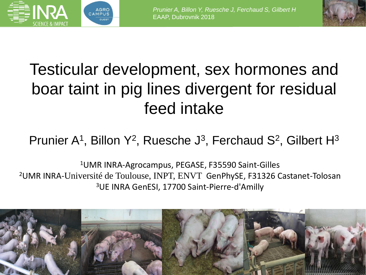



# Testicular development, sex hormones and boar taint in pig lines divergent for residual feed intake

#### Prunier A<sup>1</sup>, Billon Y<sup>2</sup>, Ruesche J<sup>3</sup>, Ferchaud S<sup>2</sup>, Gilbert H<sup>3</sup>

<sup>1</sup>UMR INRA-Agrocampus, PEGASE, F35590 Saint-Gilles <sup>2</sup>UMR INRA-Université de Toulouse, INPT, ENVT GenPhySE, F31326 Castanet-Tolosan <sup>3</sup>UE INRA GenESI, 17700 Saint-Pierre-d'Amilly

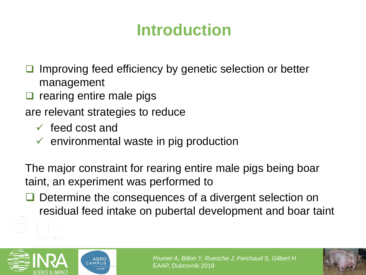## **Introduction**

Improving feed efficiency by genetic selection or better management

❑ rearing entire male pigs

are relevant strategies to reduce

**AGRC** 

- $\checkmark$  feed cost and
- $\checkmark$  environmental waste in pig production

The major constraint for rearing entire male pigs being boar taint, an experiment was performed to

❑ Determine the consequences of a divergent selection on residual feed intake on pubertal development and boar taint



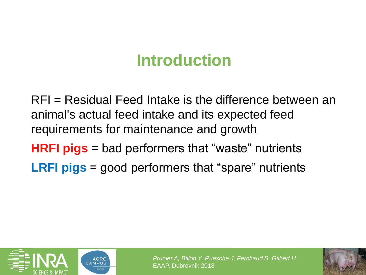## **Introduction**

RFI = Residual Feed Intake is the difference between an animal's actual feed intake and its expected feed requirements for maintenance and growth **HRFI pigs** = bad performers that "waste" nutrients

**LRFI pigs** = good performers that "spare" nutrients



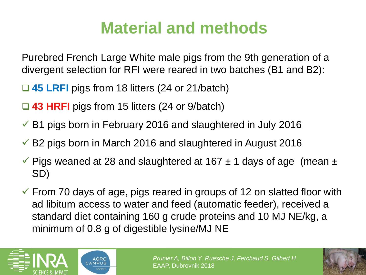## **Material and methods**

Purebred French Large White male pigs from the 9th generation of a divergent selection for RFI were reared in two batches (B1 and B2):

- ❑ **45 LRFI** pigs from 18 litters (24 or 21/batch)
- ❑ **43 HRFI** pigs from 15 litters (24 or 9/batch)
- $\checkmark$  B1 pigs born in February 2016 and slaughtered in July 2016
- $\checkmark$  B2 pigs born in March 2016 and slaughtered in August 2016
- $\checkmark$  Pigs weaned at 28 and slaughtered at 167  $\pm$  1 days of age (mean  $\pm$ SD)
- $\checkmark$  From 70 days of age, pigs reared in groups of 12 on slatted floor with ad libitum access to water and feed (automatic feeder), received a standard diet containing 160 g crude proteins and 10 MJ NE/kg, a minimum of 0.8 g of digestible lysine/MJ NE



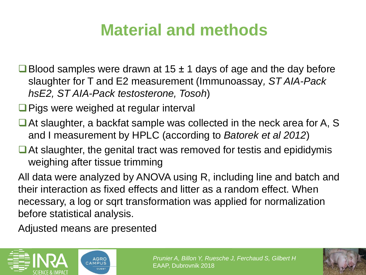## **Material and methods**

- ■Blood samples were drawn at 15  $±$  1 days of age and the day before slaughter for T and E2 measurement (Immunoassay*, ST AIA-Pack hsE2, ST AIA-Pack testosterone, Tosoh*)
- ❑Pigs were weighed at regular interval
- ■At slaughter, a backfat sample was collected in the neck area for A, S and I measurement by HPLC (according to *Batorek et al 2012*)
- At slaughter, the genital tract was removed for testis and epididymis weighing after tissue trimming

All data were analyzed by ANOVA using R, including line and batch and their interaction as fixed effects and litter as a random effect. When necessary, a log or sqrt transformation was applied for normalization before statistical analysis.

Adjusted means are presented



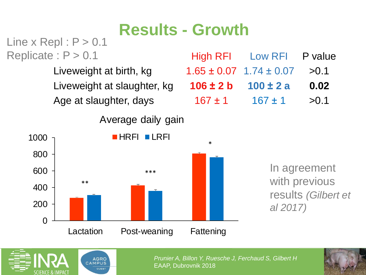### **Results - Growth**

Line  $x$  Repl :  $P > 0.1$ Replicate :  $P > 0.1$ 

Average daily gain



High RFI Low RFI P value Liveweight at birth, kg  $1.65 \pm 0.07$  1.74  $\pm$  0.07  $>$  0.1 Liveweight at slaughter, kg **106 ± 2 b 100 ± 2 a 0.02** Age at slaughter, days  $167 \pm 1$   $167 \pm 1$   $> 0.1$ 

> In agreement with previous results *(Gilbert et al 2017)*



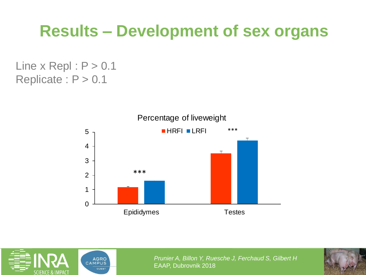### **Results – Development of sex organs**

Line  $x$  Repl :  $P > 0.1$ Replicate :  $P > 0.1$ 



#### AGRO<br>CAMPUS **OUEST**

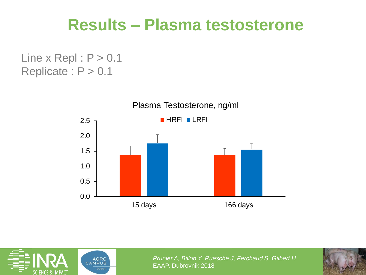#### **Results – Plasma testosterone**

Line  $x$  Repl :  $P > 0.1$ Replicate :  $P > 0.1$ 





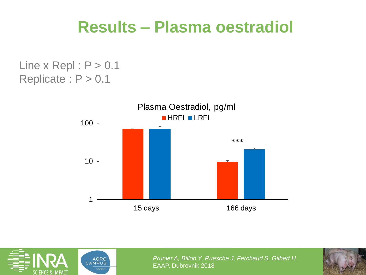### **Results – Plasma oestradiol**

Line  $x$  Repl :  $P > 0.1$ Replicate : P > 0.1





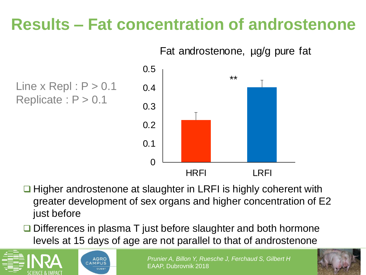## **Results – Fat concentration of androstenone**



Line  $x$  Repl :  $P > 0.1$ Replicate :  $P > 0.1$ 



- ❑ Higher androstenone at slaughter in LRFI is highly coherent with greater development of sex organs and higher concentration of E2 just before
- ❑ Differences in plasma T just before slaughter and both hormone levels at 15 days of age are not parallel to that of androstenone



**AGRO** CAMPUS

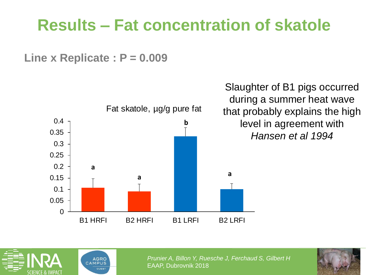## **Results – Fat concentration of skatole**

**Line x Replicate : P = 0.009**



Slaughter of B1 pigs occurred during a summer heat wave that probably explains the high level in agreement with *Hansen et al 1994*